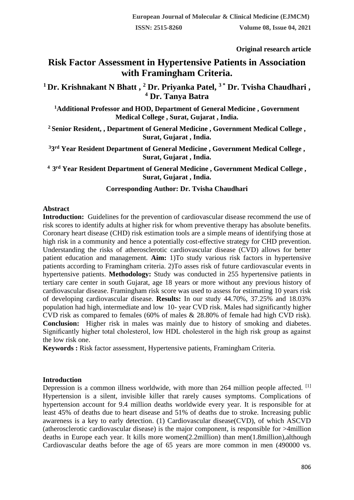**Original research article** 

# **Risk Factor Assessment in Hypertensive Patients in Association with Framingham Criteria.**

**<sup>1</sup>Dr. Krishnakant N Bhatt , <sup>2</sup> Dr. Priyanka Patel, 3 \* Dr. Tvisha Chaudhari , <sup>4</sup> Dr. Tanya Batra**

**<sup>1</sup>Additional Professor and HOD, Department of General Medicine , Government Medical College , Surat, Gujarat , India.**

**<sup>2</sup>Senior Resident, , Department of General Medicine , Government Medical College , Surat, Gujarat , India.**

**33 rd Year Resident Department of General Medicine , Government Medical College , Surat, Gujarat , India.**

**<sup>4</sup>3 rd Year Resident Department of General Medicine , Government Medical College , Surat, Gujarat , India.**

## **Corresponding Author: Dr. Tvisha Chaudhari**

## **Abstract**

**Introduction:** Guidelines for the prevention of cardiovascular disease recommend the use of risk scores to identify adults at higher risk for whom preventive therapy has absolute benefits. Coronary heart disease (CHD) risk estimation tools are a simple means of identifying those at high risk in a community and hence a potentially cost-effective strategy for CHD prevention. Understanding the risks of atherosclerotic cardiovascular disease (CVD) allows for better patient education and management. **Aim:** 1)To study various risk factors in hypertensive patients according to Framingham criteria. 2)To asses risk of future cardiovascular events in hypertensive patients. **Methodology:** Study was conducted in 255 hypertensive patients in tertiary care center in south Gujarat, age 18 years or more without any previous history of cardiovascular disease. Framingham risk score was used to assess for estimating 10 years risk of developing cardiovascular disease. **Results:** In our study 44.70%, 37.25% and 18.03% population had high, intermediate and low 10- year CVD risk. Males had significantly higher CVD risk as compared to females (60% of males & 28.80% of female had high CVD risk). **Conclusion:** Higher risk in males was mainly due to history of smoking and diabetes. Significantly higher total cholesterol, low HDL cholesterol in the high risk group as against the low risk one.

**Keywords :** Risk factor assessment, Hypertensive patients, Framingham Criteria.

### **Introduction**

Depression is a common illness worldwide, with more than 264 million people affected. <sup>[1]</sup> Hypertension is a silent, invisible killer that rarely causes symptoms. Complications of hypertension account for 9.4 million deaths worldwide every year. It is responsible for at least 45% of deaths due to heart disease and 51% of deaths due to stroke. Increasing public awareness is a key to early detection. (1) Cardiovascular disease(CVD), of which ASCVD (atherosclerotic cardiovascular disease) is the major component, is responsible for >4million deaths in Europe each year. It kills more women(2.2million) than men(1.8million),although Cardiovascular deaths before the age of 65 years are more common in men (490000 vs.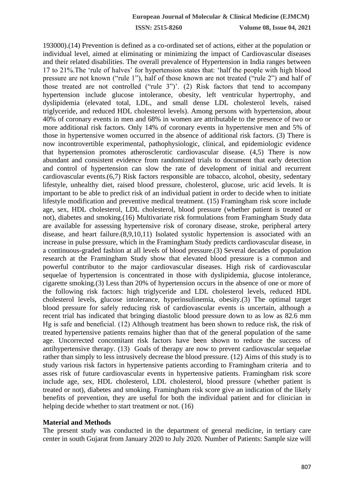193000).(14) Prevention is defined as a co-ordinated set of actions, either at the population or individual level, aimed at eliminating or minimizing the impact of Cardiovascular diseases and their related disabilities. The overall prevalence of Hypertension in India ranges between 17 to 21%.The 'rule of halves' for hypertension states that: 'half the people with high blood pressure are not known ("rule 1"), half of those known are not treated ("rule 2") and half of those treated are not controlled ("rule 3")'. (2) Risk factors that tend to accompany hypertension include glucose intolerance, obesity, left ventricular hypertrophy, and dyslipidemia (elevated total, LDL, and small dense LDL cholesterol levels, raised triglyceride, and reduced HDL cholesterol levels). Among persons with hypertension, about 40% of coronary events in men and 68% in women are attributable to the presence of two or more additional risk factors. Only 14% of coronary events in hypertensive men and 5% of those in hypertensive women occurred in the absence of additional risk factors. (3) There is now incontrovertible experimental, pathophysiologic, clinical, and epidemiologic evidence that hypertension promotes atherosclerotic cardiovascular disease. (4,5) There is now abundant and consistent evidence from randomized trials to document that early detection and control of hypertension can slow the rate of development of initial and recurrent cardiovascular events.(6,7) Risk factors responsible are tobacco, alcohol, obesity, sedentary lifestyle, unhealthy diet, raised blood pressure, cholesterol, glucose, uric acid levels. It is important to be able to predict risk of an individual patient in order to decide when to initiate lifestyle modification and preventive medical treatment. (15) Framingham risk score include age, sex, HDL cholesterol, LDL cholesterol, blood pressure (whether patient is treated or not), diabetes and smoking.(16) Multivariate risk formulations from Framingham Study data are available for assessing hypertensive risk of coronary disease, stroke, peripheral artery disease, and heart failure.(8,9,10,11) Isolated systolic hypertension is associated with an increase in pulse pressure, which in the Framingham Study predicts cardiovascular disease, in a continuous-graded fashion at all levels of blood pressure.(3) Several decades of population research at the Framingham Study show that elevated blood pressure is a common and powerful contributor to the major cardiovascular diseases. High risk of cardiovascular sequelae of hypertension is concentrated in those with dyslipidemia, glucose intolerance, cigarette smoking.(3) Less than 20% of hypertension occurs in the absence of one or more of the following risk factors: high triglyceride and LDL cholesterol levels, reduced HDL cholesterol levels, glucose intolerance, hyperinsulinemia, obesity.(3) The optimal target blood pressure for safely reducing risk of cardiovascular events is uncertain, although a recent trial has indicated that bringing diastolic blood pressure down to as low as 82.6 mm Hg is safe and beneficial. (12) Although treatment has been shown to reduce risk, the risk of treated hypertensive patients remains higher than that of the general population of the same age. Uncorrected concomitant risk factors have been shown to reduce the success of antihypertensive therapy. (13) Goals of therapy are now to prevent cardiovascular sequelae rather than simply to less intrusively decrease the blood pressure. (12) Aims of this study is to study various risk factors in hypertensive patients according to Framingham criteria and to asses risk of future cardiovascular events in hypertensive patients. Framingham risk score include age, sex, HDL cholesterol, LDL cholesterol, blood pressure (whether patient is treated or not), diabetes and smoking. Framingham risk score give an indication of the likely benefits of prevention, they are useful for both the individual patient and for clinician in helping decide whether to start treatment or not. (16)

#### **Material and Methods**

The present study was conducted in the department of general medicine, in tertiary care center in south Gujarat from January 2020 to July 2020. Number of Patients: Sample size will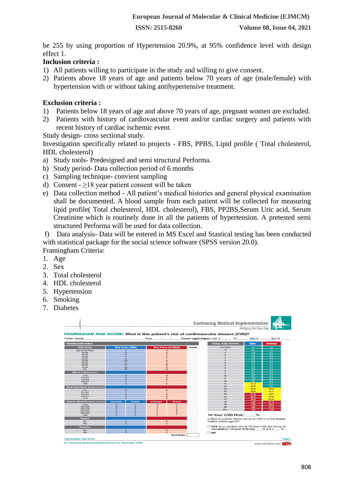be 255 by using proportion of Hypertension 20.9%, at 95% confidence level with design effect 1.

## **Inclusion criteria :**

- 1) All patients willing to participate in the study and willing to give consent.
- 2) Patients above 18 years of age and patients below 70 years of age (male/female) with hypertension with or without taking antihypertensive treatment.

## **Exclusion criteria :**

- 1) Patients below 18 years of age and above 70 years of age, pregnant women are excluded.
- 2) Patients with history of cardiovascular event and/or cardiac surgery and patients with recent history of cardiac ischemic event.

Study design- cross sectional study.

Investigation specifically related to projects - FBS, PPBS, Lipid profile ( Total cholesterol, HDL cholesterol)

- a) Study tools- Predesigned and semi structural Performa.
- b) Study period- Data collection period of 6 months
- c) Sampling technique- convient sampling
- d) Consent  $\geq$ 18 year patient consent will be taken
- e) Data collection method All patient's medical histories and general physical examination shall be documented. A blood sample from each patient will be collected for measuring lipid profile( Total cholesterol, HDL cholesterol), FBS, PP2BS,Serum Uric acid, Serum Creatinine which is routinely done in all the patients of hypertension. A pretested semi structured Performa will be used for data collection.

f) Data analysis- Data will be entered in MS Excel and Stastical testing has been conducted with statistical package for the social science software (SPSS version 20.0). Framingham Criteria:

1. Age

- 2. Sex
- 3. Total cholesterol
- 4. HDL cholesterol
- 5. Hypertension
- 6. Smoking
- 7. Diabetes

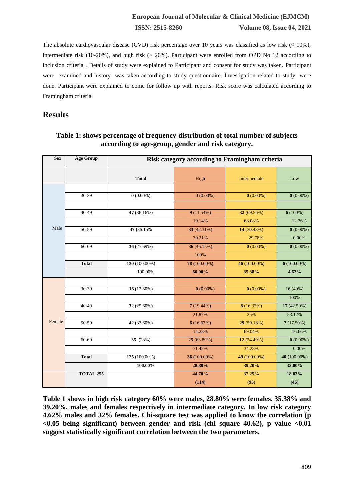## **European Journal of Molecular & Clinical Medicine (EJMCM) ISSN: 2515-8260 Volume 08, Issue 04, 2021**

The absolute cardiovascular disease (CVD) risk percentage over 10 years was classified as low risk  $(< 10\%$ ), intermediate risk (10-20%), and high risk (> 20%). Participant were enrolled from OPD No 12 according to inclusion criteria . Details of study were explained to Participant and consent for study was taken. Participant were examined and history was taken according to study questionnaire. Investigation related to study were done. Participant were explained to come for follow up with reports. Risk score was calculated according to Framingham criteria.

## **Results**

| <b>Sex</b> | <b>Age Group</b> | Risk category according to Framingham criteria |              |              |               |  |  |  |  |
|------------|------------------|------------------------------------------------|--------------|--------------|---------------|--|--|--|--|
|            |                  | <b>Total</b>                                   | High         | Intermediate | Low           |  |  |  |  |
|            |                  |                                                |              |              |               |  |  |  |  |
|            | 30-39            | $0(0.00\%)$                                    | $0(0.00\%)$  | $0(0.00\%)$  | $0(0.00\%)$   |  |  |  |  |
|            |                  |                                                |              |              |               |  |  |  |  |
|            | $40 - 49$        | 47 (36.16%)                                    | 9(11.54%)    | 32 (69.56%)  | $6(100\%)$    |  |  |  |  |
|            |                  |                                                | 19.14%       | 68.08%       | 12.76%        |  |  |  |  |
| Male       | 50-59            | 47 (36.15%)                                    | 33 (42.31%)  | 14 (30.43%)  | $0(0.00\%)$   |  |  |  |  |
|            |                  |                                                | 70.21%       | 29.78%       | 0.00%         |  |  |  |  |
|            | 60-69            | 36 (27.69%)                                    | 36 (46.15%)  | $0(0.00\%)$  | $0(0.00\%)$   |  |  |  |  |
|            |                  |                                                | 100%         |              |               |  |  |  |  |
|            | <b>Total</b>     | 130 (100.00%)                                  | 78 (100.00%) | 46 (100.00%) | $6(100.00\%)$ |  |  |  |  |
|            |                  | 100.00%                                        | 60.00%       | 35.38%       | 4.62%         |  |  |  |  |
|            |                  |                                                |              |              |               |  |  |  |  |
|            | 30-39            | 16 (12.80%)                                    | $0(0.00\%)$  | $0(0.00\%)$  | 16(40%)       |  |  |  |  |
|            |                  |                                                |              |              | 100%          |  |  |  |  |
|            | 40-49            | 32 (25.60%)                                    | $7(19.44\%)$ | 8(16.32%)    | 17 (42.50%)   |  |  |  |  |
|            |                  |                                                | 21.87%       | 25%          | 53.12%        |  |  |  |  |
| Female     | $50 - 59$        | 42 (33.60%)                                    | 6(16.67%)    | 29 (59.18%)  | 7(17.50%)     |  |  |  |  |
|            |                  |                                                | 14.28%       | 69.04%       | 16.66%        |  |  |  |  |
|            | 60-69            | 35 (28%)                                       | 25 (63.89%)  | 12 (24.49%)  | $0(0.00\%)$   |  |  |  |  |
|            |                  |                                                | 71.42%       | 34.28%       | 0.00%         |  |  |  |  |
|            | <b>Total</b>     | 125 (100.00%)                                  | 36 (100.00%) | 49 (100.00%) | 40 (100.00%)  |  |  |  |  |
|            |                  | 100.00%                                        | 28.80%       | 39.20%       | 32.00%        |  |  |  |  |
|            | <b>TOTAL 255</b> |                                                | 44.70%       | 37.25%       | 18.03%        |  |  |  |  |
|            |                  |                                                | (114)        | (95)         | (46)          |  |  |  |  |

**Table 1: shows percentage of frequency distribution of total number of subjects according to age-group, gender and risk category.**

**Table 1 shows in high risk category 60% were males, 28.80% were females. 35.38% and 39.20%, males and females respectively in intermediate category. In low risk category 4.62% males and 32% females. Chi-square test was applied to know the correlation (p <0.05 being significant) between gender and risk (chi square 40.62), p value <0.01 suggest statistically significant correlation between the two parameters.**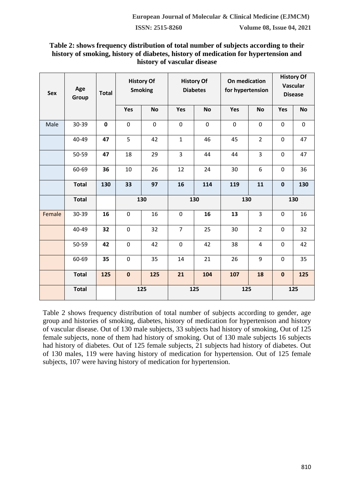## **Table 2: shows frequency distribution of total number of subjects according to their history of smoking, history of diabetes, history of medication for hypertension and history of vascular disease**

| Sex    | Age<br><b>Total</b><br>Group |             | <b>History Of</b><br><b>Smoking</b> |             | <b>History Of</b><br><b>Diabetes</b> |             | On medication<br>for hypertension |                | <b>History Of</b><br>Vascular<br><b>Disease</b> |           |  |
|--------|------------------------------|-------------|-------------------------------------|-------------|--------------------------------------|-------------|-----------------------------------|----------------|-------------------------------------------------|-----------|--|
|        |                              |             | Yes                                 | <b>No</b>   | Yes                                  | <b>No</b>   | Yes                               | <b>No</b>      | Yes                                             | <b>No</b> |  |
| Male   | 30-39                        | $\mathbf 0$ | $\mathbf 0$                         | $\mathbf 0$ | $\mathbf 0$                          | $\mathbf 0$ | $\mathbf 0$                       | $\mathbf 0$    | 0                                               | $\pmb{0}$ |  |
|        | 40-49                        | 47          | 5                                   | 42          | $\mathbf{1}$                         | 46          | 45                                | $\overline{2}$ | $\pmb{0}$                                       | 47        |  |
|        | 50-59                        | 47          | 18                                  | 29          | 3                                    | 44          | 44                                | 3              | 0                                               | 47        |  |
|        | 60-69                        | 36          | 10                                  | 26          | 12                                   | 24          | 30                                | 6              | $\pmb{0}$                                       | 36        |  |
|        | <b>Total</b>                 | 130         | 33                                  | 97          | 16                                   | 114         | 119                               | 11             | $\pmb{0}$                                       | 130       |  |
|        | <b>Total</b>                 |             |                                     | 130         | 130                                  |             | 130                               |                | 130                                             |           |  |
| Female | 30-39                        | 16          | $\mathbf 0$                         | 16          | $\mathbf 0$                          | 16          | 13                                | 3              | 0                                               | 16        |  |
|        | 40-49                        | 32          | $\mathbf 0$                         | 32          | $\overline{7}$                       | 25          | 30                                | $\overline{2}$ | 0                                               | 32        |  |
|        | 50-59                        | 42          | 0                                   | 42          | $\mathbf 0$                          | 42          | 38                                | 4              | 0                                               | 42        |  |
|        | 60-69                        | 35          | $\pmb{0}$                           | 35          | 14                                   | 21          | 26                                | 9              | 0                                               | 35        |  |
|        | <b>Total</b>                 | 125         | $\bf{0}$                            | 125         | 21                                   | 104         | 107                               | 18             | $\pmb{0}$                                       | 125       |  |
|        | <b>Total</b>                 |             |                                     | 125         |                                      | 125         |                                   | 125            |                                                 | 125       |  |

Table 2 shows frequency distribution of total number of subjects according to gender, age group and histories of smoking, diabetes, history of medication for hypertenison and history of vascular disease. Out of 130 male subjects, 33 subjects had history of smoking, Out of 125 female subjects, none of them had history of smoking. Out of 130 male subjects 16 subjects had history of diabetes. Out of 125 female subjects, 21 subjects had history of diabetes. Out of 130 males, 119 were having history of medication for hypertension. Out of 125 female subjects, 107 were having history of medication for hypertension.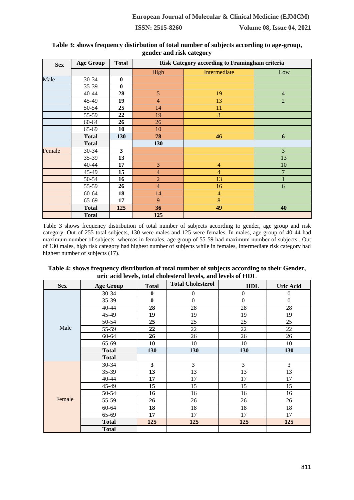| <b>Sex</b> | <b>Age Group</b> | <b>Total</b>            | Risk Category according to Framingham criteria |                |                |  |  |  |  |
|------------|------------------|-------------------------|------------------------------------------------|----------------|----------------|--|--|--|--|
|            |                  |                         | High                                           | Intermediate   | Low            |  |  |  |  |
| Male       | 30-34            | $\bf{0}$                |                                                |                |                |  |  |  |  |
|            | 35-39            | 0                       |                                                |                |                |  |  |  |  |
|            | 40-44            | 28                      | 5                                              | 19             | $\overline{4}$ |  |  |  |  |
|            | 45-49            | 19                      | $\overline{4}$                                 | 13             | $\overline{2}$ |  |  |  |  |
|            | 50-54            | 25                      | 14                                             | 11             |                |  |  |  |  |
|            | 55-59            | 22                      | 19                                             | 3              |                |  |  |  |  |
|            | 60-64            | 26                      | 26                                             |                |                |  |  |  |  |
|            | 65-69            | 10                      | 10                                             |                |                |  |  |  |  |
|            | <b>Total</b>     | 130                     | 78                                             | 46             | 6              |  |  |  |  |
|            | <b>Total</b>     |                         | 130                                            |                |                |  |  |  |  |
| Female     | 30-34            | $\overline{\mathbf{3}}$ |                                                |                | 3              |  |  |  |  |
|            | 35-39            | 13                      |                                                |                | 13             |  |  |  |  |
|            | 40-44            | 17                      | 3                                              | 4              | 10             |  |  |  |  |
|            | 45-49            | 15                      | $\overline{4}$                                 | $\overline{4}$ | $\overline{7}$ |  |  |  |  |
|            | 50-54            | 16                      | $\overline{2}$                                 | 13             |                |  |  |  |  |
|            | 55-59            | 26                      | $\overline{4}$                                 | 16             | 6              |  |  |  |  |
|            | $60 - 64$        | 18                      | 14                                             | $\overline{4}$ |                |  |  |  |  |
|            | 65-69            | 17                      | 9                                              | 8              |                |  |  |  |  |
|            | <b>Total</b>     | 125                     | 36                                             | 49             | 40             |  |  |  |  |
|            | <b>Total</b>     |                         | 125                                            |                |                |  |  |  |  |

#### **Table 3: shows frequency distirbution of total number of subjects according to age-group, gender and risk category**

Table 3 shows frequency distribution of total number of subjects according to gender, age group and risk category. Out of 255 total subjects, 130 were males and 125 were females. In males, age group of 40-44 had maximum number of subjects whereas in females, age group of 55-59 had maximum number of subjects . Out of 130 males, high risk category had highest number of subjects while in females, Intermediate risk category had highest number of subjects (17).

| Table 4: shows frequency distribution of total number of subjects according to their Gender, |
|----------------------------------------------------------------------------------------------|
| uric acid levels, total cholesterol levels, and levels of HDL                                |

| <b>Sex</b> | <b>Age Group</b> | <b>Total</b> | <b>Total Cholesterol</b> | <b>HDL</b>       | <b>Uric Acid</b> |
|------------|------------------|--------------|--------------------------|------------------|------------------|
|            | 30-34            | $\bf{0}$     | $\boldsymbol{0}$         | $\boldsymbol{0}$ | $\theta$         |
|            | 35-39            | $\bf{0}$     | $\overline{0}$           | $\overline{0}$   | $\mathbf{0}$     |
|            | 40-44            | 28           | 28                       | 28               | 28               |
|            | 45-49            | 19           | 19                       | 19               | 19               |
|            | 50-54            | 25           | 25                       | 25               | 25               |
| Male       | 55-59            | 22           | 22                       | 22               | 22               |
|            | $60 - 64$        | 26           | 26                       | 26               | 26               |
|            | 65-69            | 10           | 10                       | 10               | 10               |
|            | <b>Total</b>     | 130          | 130                      | 130              | 130              |
|            | <b>Total</b>     |              |                          |                  |                  |
|            | 30-34            | $\mathbf{3}$ | 3                        | 3                | 3                |
|            | 35-39            | 13           | 13                       | 13               | 13               |
|            | $40 - 44$        | 17           | 17                       | 17               | 17               |
|            | 45-49            | 15           | 15                       | 15               | 15               |
|            | 50-54            | 16           | 16                       | 16               | 16               |
| Female     | 55-59            | 26           | 26                       | 26               | 26               |
|            | $60 - 64$        | 18           | 18                       | 18               | 18               |
|            | 65-69            | 17           | 17                       | 17               | 17               |
|            | <b>Total</b>     | 125          | 125                      | 125              | 125              |
|            | <b>Total</b>     |              |                          |                  |                  |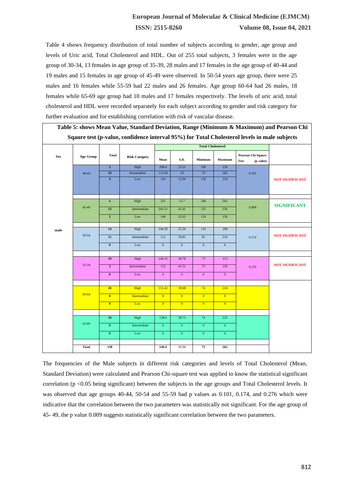## **European Journal of Molecular & Clinical Medicine (EJMCM) ISSN: 2515-8260 Volume 08, Issue 04, 2021**

Table 4 shows frequency distribution of total number of subjects according to gender, age group and levels of Uric acid, Total Cholesterol and HDL. Out of 255 total subjects, 3 females were in the age group of 30-34, 13 females in age group of 35-39, 28 males and 17 females in the age group of 40-44 and 19 males and 15 females in age group of 45-49 were observed. In 50-54 years age group, there were 25 males and 16 females while 55-59 had 22 males and 26 females. Age group 60-64 had 26 males, 18 females while 65-69 age group had 10 males and 17 females respectively. The levels of uric acid, total cholesterol and HDL were recorded separately for each subject according to gender and risk category for further evaluation and for establishing correlation with risk of vascular disease.

|            | Table 5: shows Mean Value, Standard Deviation, Range (Minimum & Maximum) and Pearson Chi |                         |                      |                  |                |                |                |                                                                                              |                        |  |
|------------|------------------------------------------------------------------------------------------|-------------------------|----------------------|------------------|----------------|----------------|----------------|----------------------------------------------------------------------------------------------|------------------------|--|
|            |                                                                                          |                         |                      |                  |                |                |                | Sqaure test (p-value, confidence interval 95%) for Total Cholesterol levels in male subjects |                        |  |
|            |                                                                                          |                         |                      |                  |                |                |                |                                                                                              |                        |  |
| <b>Sex</b> | <b>Age Group</b>                                                                         | <b>Total</b>            | <b>Risk Category</b> | Mean             | S.D.           | Minimum        | Maximum        | Pearson Chi Sqaure<br><b>Test</b><br>(p value)                                               |                        |  |
|            |                                                                                          | $\overline{5}$          | High                 | 208.6            | 23.21          | 190            | 234            |                                                                                              |                        |  |
|            | $40 - 44$                                                                                | 19                      | Intermediate         | 113.58           | 29             | 79             | 182            | 0.101                                                                                        |                        |  |
|            |                                                                                          | $\overline{\bf{4}}$     | Low                  | 143              | 12.94          | 129            | 154            |                                                                                              | <b>NOT SIGNIFICANT</b> |  |
|            |                                                                                          | $\overline{\mathbf{4}}$ | High                 | 251              | 12.7           | 240            | 262            |                                                                                              |                        |  |
|            | 45-49                                                                                    | 13                      | Intermediate         | 203.31           | 42.41          | 125            | 236            | 0.009                                                                                        | <b>SIGNIFICANT</b>     |  |
|            |                                                                                          | $\mathbf 2$             | Low                  | 140              | 22.63          | 124            | 156            |                                                                                              |                        |  |
|            |                                                                                          |                         |                      |                  |                |                |                |                                                                                              |                        |  |
| male       |                                                                                          | 14                      | High                 | 149.29           | 22.26          | 116            | 189            |                                                                                              |                        |  |
|            | 50-54                                                                                    | $11\,$                  | Intermediate         | 112              | 39.81          | $81\,$         | 210            | 0.174                                                                                        | <b>NOT SIGNIFICANT</b> |  |
|            |                                                                                          | $\bf{0}$                | Low                  | $\boldsymbol{0}$ | $\mathbf{0}$   | $\mathbf{0}$   | $\mathbf{0}$   |                                                                                              |                        |  |
|            |                                                                                          |                         |                      |                  |                |                |                |                                                                                              |                        |  |
|            |                                                                                          | 19                      | High                 | 144.32           | 38.78          | 73             | 212            |                                                                                              |                        |  |
|            | 55-59                                                                                    | $\overline{\mathbf{3}}$ | Intermediate         | 115              | 41.51          | 73             | 156            | 0.276                                                                                        | <b>NOT SIGNIFICANT</b> |  |
|            |                                                                                          | $\bf{0}$                | Low                  | $\mathbf{0}$     | $\bf{0}$       | $\bf{0}$       | $\mathbf{0}$   |                                                                                              |                        |  |
|            |                                                                                          |                         |                      |                  |                |                |                |                                                                                              |                        |  |
|            |                                                                                          | 26                      | <b>High</b>          | 151.42           | 30.68          | 74             | 224            |                                                                                              |                        |  |
|            | $60 - 64$                                                                                | $\overline{0}$          | <b>Intermediate</b>  | $\overline{0}$   | $\overline{0}$ | $\overline{0}$ | $\overline{0}$ |                                                                                              |                        |  |
|            |                                                                                          | $\overline{0}$          | Low                  | $\overline{0}$   | $\overline{0}$ | $\overline{0}$ | $\overline{0}$ |                                                                                              |                        |  |
|            |                                                                                          |                         |                      |                  |                |                |                |                                                                                              |                        |  |
|            |                                                                                          | 10                      | High                 | 138.6            | 38.73          | 74             | 225            |                                                                                              |                        |  |
|            | 65-69                                                                                    | $\bf{0}$                | Intermediate         | $\mathbf{0}$     | $\mathbf{0}$   | $\mathbf{0}$   | $\mathbf{0}$   |                                                                                              |                        |  |
|            |                                                                                          | $\pmb{0}$               | Low                  | $\mathbf{0}$     | $\mathbf{0}$   | $\mathbf{0}$   | $\mathbf{0}$   |                                                                                              |                        |  |
|            | <b>Total</b>                                                                             | 130                     |                      | 149.4            | 45.94          | 73             | 262            |                                                                                              |                        |  |
|            |                                                                                          |                         |                      |                  |                |                |                |                                                                                              |                        |  |

The frequencies of the Male subjects in different risk categories and levels of Total Cholesterol (Mean, Standard Deviation) were calculated and Pearson Chi-square test was applied to know the statistical significant correlation (p <0.05 being significant) between the subjects in the age groups and Total Cholesterol levels. It was observed that age groups 40-44, 50-54 and 55-59 had p values as 0.101, 0.174, and 0.276 which were indicative that the correlation between the two parameters was statistically not significant. For the age group of 45- 49, the p value 0.009 suggests statistically significant correlation between the two parameters.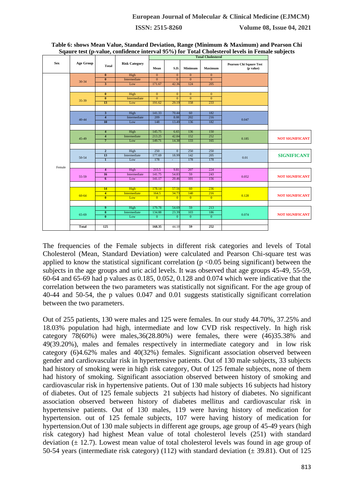| <b>Sex</b> | <b>Age Group</b> | Total                   | <b>Risk Category</b> | Mean           | S.D.           | Minimum        | <b>Maximum</b> | <b>Pearson Chi Sqaure Test</b><br>(p value) |                        |  |
|------------|------------------|-------------------------|----------------------|----------------|----------------|----------------|----------------|---------------------------------------------|------------------------|--|
|            |                  | $\bf{0}$                | High                 | $\mathbf{0}$   | $\mathbf{0}$   | $\overline{0}$ | $\overline{0}$ |                                             |                        |  |
|            | 30-34            | $\overline{\mathbf{0}}$ | Intermediate         | $\mathbf{0}$   | $\overline{0}$ | $\overline{0}$ | $\overline{0}$ |                                             |                        |  |
|            |                  | $\overline{\mathbf{3}}$ | Low                  | 171.67         | 42.36          | 124            | 205            |                                             |                        |  |
|            |                  |                         |                      |                |                |                |                |                                             |                        |  |
|            |                  | $\overline{\mathbf{0}}$ | High                 | $\overline{0}$ | $\overline{0}$ | $\overline{0}$ | $\overline{0}$ |                                             |                        |  |
|            |                  | $\bf{0}$                | Intermediate         | $\mathbf{0}$   | $\mathbf{0}$   | $\overline{0}$ | $\overline{0}$ |                                             |                        |  |
|            | 35-39            | 13                      | Low                  | 191.62         | 29.19          | 158            | 233            |                                             |                        |  |
|            |                  |                         |                      |                |                |                |                |                                             |                        |  |
|            |                  | $\overline{\mathbf{3}}$ | High                 | 141.33         | 70.44          | 60             | 182            |                                             |                        |  |
|            |                  | $\overline{\bf{4}}$     | Intermediate         | 209            | 8.08           | 202            | 216            |                                             |                        |  |
|            | $40 - 44$        | 10                      | Low                  | 148            | 13.49          | 136            | 182            | 0.047                                       |                        |  |
|            |                  |                         |                      |                |                |                |                |                                             |                        |  |
|            | 45-49            | $\overline{4}$          | High                 | 145.75         | 6.65           | 136            | 150            |                                             |                        |  |
|            |                  | $\overline{\bf 4}$      | Intermediate         | 213.25         | 42.84          | 152            | 252            | 0.185                                       |                        |  |
|            |                  | 7                       | Low                  | 149.71         | 14.38          | 133            | 165            |                                             | <b>NOT SIGNIFICANT</b> |  |
|            |                  |                         |                      |                |                |                |                |                                             |                        |  |
|            |                  | $\overline{2}$          | High                 | 250            | $\overline{0}$ | 250            | 250            |                                             |                        |  |
|            | 50-54            | 13                      | Intermediate         | 177.69         | 18.99          | 142            | 205            |                                             | <b>SIGNIFICANT</b>     |  |
|            |                  | $\overline{1}$          | Low                  | 178            | $\sim$         | 178            | 178            | 0.01                                        |                        |  |
|            |                  |                         |                      |                |                |                |                |                                             |                        |  |
| Female     |                  | 4                       | High                 | 215.5          | 9.81           | 207            | 224            |                                             |                        |  |
|            |                  | 16                      | Intermediate         | 141.75         | 54.83          | 59             | 243            |                                             |                        |  |
|            | 55-59            | $6\overline{6}$         | Low                  | 141.17         | 20.46          | 101            | 156            | 0.052                                       | <b>NOT SIGNIFICANT</b> |  |
|            |                  |                         |                      |                |                |                |                |                                             |                        |  |
|            |                  |                         |                      |                |                |                |                |                                             |                        |  |
|            |                  | 14                      | High<br>Intermediate | 178.14         | 57.56          | 60<br>140      | 236            |                                             |                        |  |
|            | 60-64            | $\overline{4}$          |                      | 164.5          | 34.73          |                | 216            | 0.128                                       | <b>NOT SIGNIFICANT</b> |  |
|            |                  | $\overline{0}$          | Low                  | $\overline{0}$ | $\overline{0}$ | $\overline{0}$ | $\overline{0}$ |                                             |                        |  |
|            |                  |                         |                      |                |                |                |                |                                             |                        |  |
|            |                  | $\overline{9}$          | High                 | 179.78         | 54.69          | 59             | 213            |                                             |                        |  |
|            | 65-69            | $\overline{\mathbf{8}}$ | Intermediate         | 134.88         | 23.39          | 103            | 186            | 0.074                                       | <b>NOT SIGNIFICANT</b> |  |
|            |                  | $\overline{\mathbf{0}}$ | Low                  | $\overline{0}$ | $\overline{0}$ | $\overline{0}$ | $\overline{0}$ |                                             |                        |  |
|            |                  |                         |                      |                |                |                |                |                                             |                        |  |
|            | <b>Total</b>     | 125                     |                      | 168.35         | 44.18          | 59             | 252            |                                             |                        |  |

**Table 6: shows Mean Value, Standard Deviation, Range (Minimum & Maximum) and Pearson Chi Sqaure test (p-value, confidence interval 95%) for Total Cholesterol levels in Female subjects**

The frequencies of the Female subjects in different risk categories and levels of Total Cholesterol (Mean, Standard Deviation) were calculated and Pearson Chi-square test was applied to know the statistical significant correlation ( $p < 0.05$  being significant) between the subjects in the age groups and uric acid levels. It was observed that age groups 45-49, 55-59, 60-64 and 65-69 had p values as 0.185, 0.052, 0.128 and 0.074 which were indicative that the correlation between the two parameters was statistically not significant. For the age group of 40-44 and 50-54, the p values 0.047 and 0.01 suggests statistically significant correlation between the two parameters.

Out of 255 patients, 130 were males and 125 were females. In our study 44.70%, 37.25% and 18.03% population had high, intermediate and low CVD risk respectively. In high risk category 78(60%) were males,36(28.80%) were females, there were (46)35.38% and 49(39.20%), males and females respectively in intermediate category and in low risk category (6)4.62% males and 40(32%) females. Significant association observed between gender and cardiovascular risk in hypertensive patients. Out of 130 male subjects, 33 subjects had history of smoking were in high risk category, Out of 125 female subjects, none of them had history of smoking. Significant association observed between history of smoking and cardiovascular risk in hypertensive patients. Out of 130 male subjects 16 subjects had history of diabetes. Out of 125 female subjects 21 subjects had history of diabetes. No significant association observed between history of diabetes mellitus and cardiovascular risk in hypertensive patients. Out of 130 males, 119 were having history of medication for hypertension. out of 125 female subjects, 107 were having history of medication for hypertension.Out of 130 male subjects in different age groups, age group of 45-49 years (high risk category) had highest Mean value of total cholesterol levels (251) with standard deviation  $(\pm 12.7)$ . Lowest mean value of total cholesterol levels was found in age group of 50-54 years (intermediate risk category) (112) with standard deviation  $(\pm 39.81)$ . Out of 125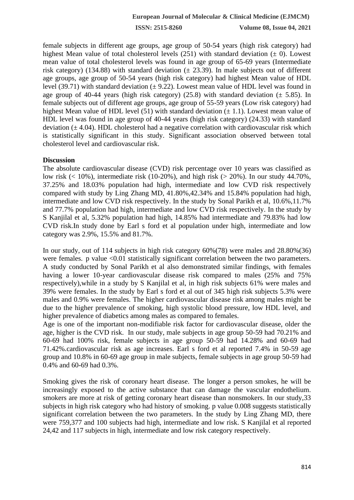female subjects in different age groups, age group of 50-54 years (high risk category) had highest Mean value of total cholesterol levels (251) with standard deviation ( $\pm$  0). Lowest mean value of total cholesterol levels was found in age group of 65-69 years (Intermediate risk category) (134.88) with standard deviation  $(\pm 23.39)$ . In male subjects out of different age groups, age group of 50-54 years (high risk category) had highest Mean value of HDL level (39.71) with standard deviation  $(\pm 9.22)$ . Lowest mean value of HDL level was found in age group of 40-44 years (high risk category) (25.8) with standard deviation ( $\pm$  5.85). In female subjects out of different age groups, age group of 55-59 years (Low risk category) had highest Mean value of HDL level (51) with standard deviation  $(\pm 1.1)$ . Lowest mean value of HDL level was found in age group of 40-44 years (high risk category) (24.33) with standard deviation  $(\pm 4.04)$ . HDL cholesterol had a negative correlation with cardiovascular risk which is statistically significant in this study. Significant association observed between total cholesterol level and cardiovascular risk.

## **Discussion**

The absolute cardiovascular disease (CVD) risk percentage over 10 years was classified as low risk ( $< 10\%$ ), intermediate risk (10-20%), and high risk ( $> 20\%$ ). In our study 44.70%, 37.25% and 18.03% population had high, intermediate and low CVD risk respectively compared with study by Ling Zhang MD, 41.80%,42.34% and 15.84% population had high, intermediate and low CVD risk respectively. In the study by Sonal Parikh et al, 10.6%,11.7% and 77.7% population had high, intermediate and low CVD risk respectively. In the study by S Kanjilal et al, 5.32% population had high, 14.85% had intermediate and 79.83% had low CVD risk.In study done by Earl s ford et al population under high, intermediate and low category was 2.9%, 15.5% and 81.7%.

In our study, out of 114 subjects in high risk category 60%(78) were males and 28.80%(36) were females. p value <0.01 statistically significant correlation between the two parameters. A study conducted by Sonal Parikh et al also demonstrated similar findings, with females having a lower 10-year cardiovascular disease risk compared to males (25% and 75%) respectively),while in a study by S Kanjilal et al, in high risk subjects 61% were males and 39% were females. In the study by Earl s ford et al out of 345 high risk subjects 5.3% were males and 0.9% were females. The higher cardiovascular disease risk among males might be due to the higher prevalence of smoking, high systolic blood pressure, low HDL level, and higher prevalence of diabetics among males as compared to females.

Age is one of the important non-modifiable risk factor for cardiovascular disease, older the age, higher is the CVD risk. In our study, male subjects in age group 50-59 had 70.21% and 60-69 had 100% risk, female subjects in age group 50-59 had 14.28% and 60-69 had 71.42%.cardiovascular risk as age increases. Earl s ford et al reported 7.4% in 50-59 age group and 10.8% in 60-69 age group in male subjects, female subjects in age group 50-59 had 0.4% and 60-69 had 0.3%.

Smoking gives the risk of coronary heart disease. The longer a person smokes, he will be increasingly exposed to the active substance that can damage the vascular endothelium. smokers are more at risk of getting coronary heart disease than nonsmokers. In our study,33 subjects in high risk category who had history of smoking. p value 0.008 suggests statistically significant correlation between the two parameters. In the study by Ling Zhang MD, there were 759,377 and 100 subjects had high, intermediate and low risk. S Kanjilal et al reported 24,42 and 117 subjects in high, intermediate and low risk category respectively.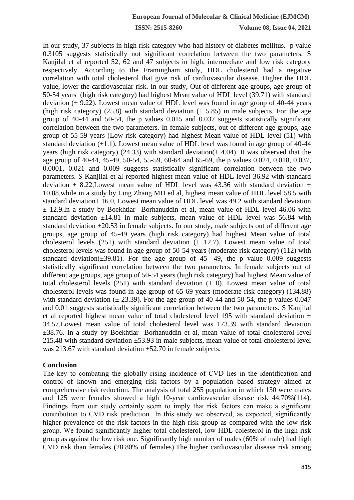In our study, 37 subjects in high risk category who had history of diabetes mellitus. p value 0.3105 suggests statistically not significant correlation between the two parameters. S Kanjilal et al reported 52, 62 and 47 subjects in high, intermediate and low risk category respectively. According to the Framingham study, HDL cholesterol had a negative correlation with total cholesterol that give risk of cardiovascular disease. Higher the HDL value, lower the cardiovascular risk. In our study, Out of different age groups, age group of 50-54 years (high risk category) had highest Mean value of HDL level (39.71) with standard deviation  $(\pm 9.22)$ . Lowest mean value of HDL level was found in age group of 40-44 years (high risk category) (25.8) with standard deviation ( $\pm$  5.85) in male subjects. For the age group of 40-44 and 50-54, the p values 0.015 and 0.037 suggests statistically significant correlation between the two parameters. In female subjects, out of different age groups, age group of 55-59 years (Low risk category) had highest Mean value of HDL level (51) with standard deviation  $(\pm 1.1)$ . Lowest mean value of HDL level was found in age group of 40-44 years (high risk category) (24.33) with standard deviation( $\pm$  4.04). It was observed that the age group of 40-44, 45-49, 50-54, 55-59, 60-64 and 65-69, the p values 0.024, 0.018, 0.037, 0.0001, 0.021 and 0.009 suggests statistically significant correlation between the two parameters. S Kanjilal et al reported highest mean value of HDL level 36.92 with standard deviation  $\pm$  8.22, Lowest mean value of HDL level was 43.36 with standard deviation  $\pm$ 10.88.while in a study by Ling Zhang MD ed al, highest mean value of HDL level 58.5 with standard deviation± 16.0, Lowest mean value of HDL level was 49.2 with standard deviation  $\pm$  12.9.In a study by Boekhtiar Borhanuddin et al, mean value of HDL level 46.06 with standard deviation  $\pm 14.81$  in male subjects, mean value of HDL level was 56.84 with standard deviation  $\pm 20.53$  in female subjects. In our study, male subjects out of different age groups, age group of 45-49 years (high risk category) had highest Mean value of total cholesterol levels (251) with standard deviation  $(± 12.7)$ . Lowest mean value of total cholesterol levels was found in age group of 50-54 years (moderate risk category) (112) with standard deviation( $\pm$ 39.81). For the age group of 45- 49, the p value 0.009 suggests statistically significant correlation between the two parameters. In female subjects out of different age groups, age group of 50-54 years (high risk category) had highest Mean value of total cholesterol levels (251) with standard deviation  $(\pm 0)$ . Lowest mean value of total cholesterol levels was found in age group of 65-69 years (moderate risk category) (134.88) with standard deviation  $(\pm 23.39)$ . For the age group of 40-44 and 50-54, the p values 0.047 and 0.01 suggests statistically significant correlation between the two parameters. S Kanjilal et al reported highest mean value of total cholesterol level 195 with standard deviation  $\pm$ 34.57,Lowest mean value of total cholesterol level was 173.39 with standard deviation ±38.76. In a study by Boekhtiar Borhanuddin et al, mean value of total cholesterol level 215.48 with standard deviation ±53.93 in male subjects, mean value of total cholesterol level was 213.67 with standard deviation  $\pm$ 52.70 in female subjects.

#### **Conclusion**

The key to combating the globally rising incidence of CVD lies in the identification and control of known and emerging risk factors by a population based strategy aimed at comprehensive risk reduction. The analysis of total 255 population in which 130 were males and 125 were females showed a high 10-year cardiovascular disease risk 44.70%(114). Findings from our study certainly seem to imply that risk factors can make a significant contribution to CVD risk prediction. In this study we observed, as expected, significantly higher prevalence of the risk factors in the high risk group as compared with the low risk group. We found significantly higher total cholesterol, low HDL colesterol in the high risk group as against the low risk one. Significantly high number of males (60% of male) had high CVD risk than females (28.80% of females).The higher cardiovascular disease risk among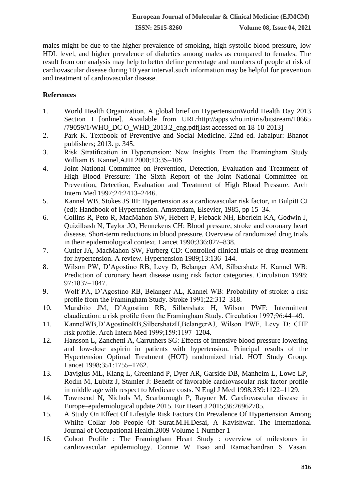males might be due to the higher prevalence of smoking, high systolic blood pressure, low HDL level, and higher prevalence of diabetics among males as compared to females. The result from our analysis may help to better define percentage and numbers of people at risk of cardiovascular disease during 10 year interval.such information may be helpful for prevention and treatment of cardiovascular disease.

## **References**

- 1. World Health Organization. A global brief on HypertensionWorld Health Day 2013 Section I [online]. Available from URL:http://apps.who.int/iris/bitstream/10665 /79059/1/WHO\_DC O\_WHD\_2013.2\_eng.pdf[last accessed on 18-10-2013]
- 2. Park K. Textbook of Preventive and Social Medicine. 22nd ed. Jabalpur: Bhanot publishers; 2013. p. 345.
- 3. Risk Stratification in Hypertension: New Insights From the Framingham Study William B. Kannel,AJH 2000;13:3S–10S
- 4. Joint National Committee on Prevention, Detection, Evaluation and Treatment of High Blood Pressure: The Sixth Report of the Joint National Committee on Prevention, Detection, Evaluation and Treatment of High Blood Pressure. Arch Intern Med 1997;24:2413–2446.
- 5. Kannel WB, Stokes JS III: Hypertension as a cardiovascular risk factor, in Bulpitt CJ (ed): Handbook of Hypertension. Amsterdam, Elsevier, 1985, pp 15–34.
- 6. Collins R, Peto R, MacMahon SW, Hebert P, Fieback NH, Eberlein KA, Godwin J, Quizilbash N, Taylor JO, Hennekens CH: Blood pressure, stroke and coronary heart disease. Short-term reductions in blood pressure. Overview of randomized drug trials in their epidemiological context. Lancet 1990;336:827–838.
- 7. Cutler JA, MacMahon SW, Furberg CD: Controlled clinical trials of drug treatment for hypertension. A review. Hypertension 1989;13:136–144.
- 8. Wilson PW, D'Agostino RB, Levy D, Belanger AM, Silbershatz H, Kannel WB: Prediction of coronary heart disease using risk factor categories. Circulation 1998; 97:1837–1847.
- 9. Wolf PA, D'Agostino RB, Belanger AL, Kannel WB: Probability of stroke: a risk profile from the Framingham Study. Stroke 1991;22:312–318.
- 10. Murabito JM, D'Agostino RB, Silbershatz H, Wilson PWF: Intermittent claudication: a risk profile from the Framingham Study. Circulation 1997;96:44–49.
- 11. KannelWB,D'AgostinoRB,SilbershatzH,BelangerAJ, Wilson PWF, Levy D: CHF risk profile. Arch Intern Med 1999;159:1197–1204.
- 12. Hansson L, Zanchetti A, Carruthers SG: Effects of intensive blood pressure lowering and low-dose aspirin in patients with hypertension. Principal results of the Hypertension Optimal Treatment (HOT) randomized trial. HOT Study Group. Lancet 1998;351:1755–1762.
- 13. Daviglus ML, Kiang L, Greenland P, Dyer AR, Garside DB, Manheim L, Lowe LP, Rodin M, Lubitz J, Stamler J: Benefit of favorable cardiovascular risk factor profile in middle age with respect to Medicare costs. N Engl J Med 1998;339:1122–1129.
- 14. Townsend N, Nichols M, Scarborough P, Rayner M. Cardiovascular disease in Europe–epidemiological update 2015. Eur Heart J 2015;36:26962705.
- 15. A Study On Effect Of Lifestyle Risk Factors On Prevalence Of Hypertension Among Whilte Collar Job People Of Surat.M.H.Desai, A Kavishwar. The International Journal of Occupational Health.2009 Volume 1 Number 1
- 16. Cohort Profile : The Framingham Heart Study : overview of milestones in cardiovascular epidemiology. Connie W Tsao and Ramachandran S Vasan.